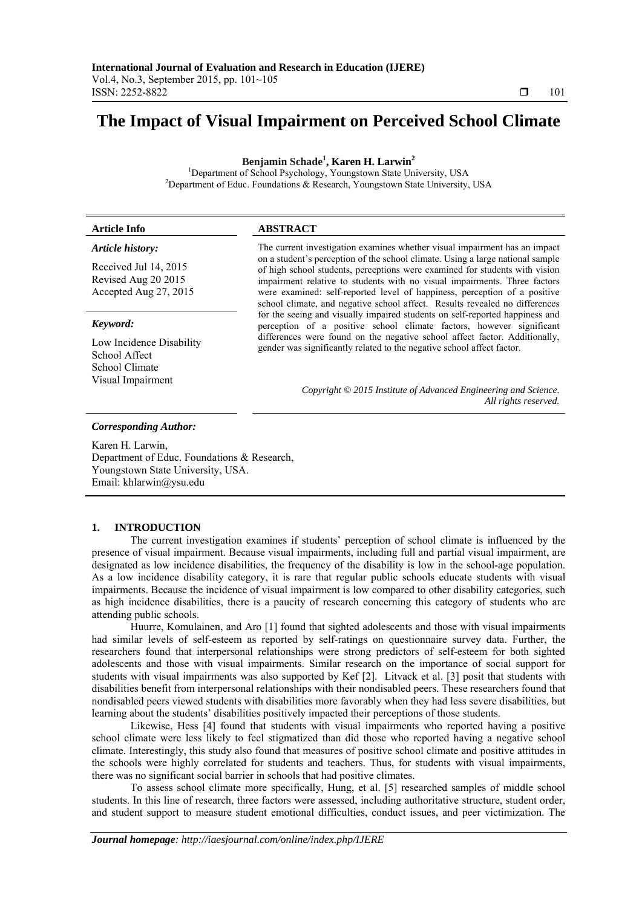# **The Impact of Visual Impairment on Perceived School Climate**

**Benjamin Schade1 , Karen H. Larwin<sup>2</sup>**

<sup>1</sup>Department of School Psychology, Youngstown State University, USA<sup>2</sup> <sup>2</sup>Department of Educ. Foundations & Research, Youngstown State University, USA

| <b>Article Info</b>                                                                       | <b>ABSTRACT</b>                                                                                                                                                                                                                                                                                                                                                                                                                                                                      |  |  |  |  |
|-------------------------------------------------------------------------------------------|--------------------------------------------------------------------------------------------------------------------------------------------------------------------------------------------------------------------------------------------------------------------------------------------------------------------------------------------------------------------------------------------------------------------------------------------------------------------------------------|--|--|--|--|
| Article history:<br>Received Jul 14, 2015<br>Revised Aug 20 2015<br>Accepted Aug 27, 2015 | The current investigation examines whether visual impairment has an impact<br>on a student's perception of the school climate. Using a large national sample<br>of high school students, perceptions were examined for students with vision<br>impairment relative to students with no visual impairments. Three factors<br>were examined: self-reported level of happiness, perception of a positive<br>school climate, and negative school affect. Results revealed no differences |  |  |  |  |
| Keyword:<br>Low Incidence Disability<br>School Affect<br>School Climate                   | for the seeing and visually impaired students on self-reported happiness and<br>perception of a positive school climate factors, however significant<br>differences were found on the negative school affect factor. Additionally,<br>gender was significantly related to the negative school affect factor.                                                                                                                                                                         |  |  |  |  |
| Visual Impairment                                                                         | Copyright © 2015 Institute of Advanced Engineering and Science.<br>All rights reserved.                                                                                                                                                                                                                                                                                                                                                                                              |  |  |  |  |

# *Corresponding Author:*

Karen H. Larwin, Department of Educ. Foundations & Research, Youngstown State University, USA. Email: khlarwin@ysu.edu

# **1. INTRODUCTION**

The current investigation examines if students' perception of school climate is influenced by the presence of visual impairment. Because visual impairments, including full and partial visual impairment, are designated as low incidence disabilities, the frequency of the disability is low in the school-age population. As a low incidence disability category, it is rare that regular public schools educate students with visual impairments. Because the incidence of visual impairment is low compared to other disability categories, such as high incidence disabilities, there is a paucity of research concerning this category of students who are attending public schools.

Huurre, Komulainen, and Aro [1] found that sighted adolescents and those with visual impairments had similar levels of self-esteem as reported by self-ratings on questionnaire survey data. Further, the researchers found that interpersonal relationships were strong predictors of self-esteem for both sighted adolescents and those with visual impairments. Similar research on the importance of social support for students with visual impairments was also supported by Kef [2]. Litvack et al. [3] posit that students with disabilities benefit from interpersonal relationships with their nondisabled peers. These researchers found that nondisabled peers viewed students with disabilities more favorably when they had less severe disabilities, but learning about the students' disabilities positively impacted their perceptions of those students.

Likewise, Hess [4] found that students with visual impairments who reported having a positive school climate were less likely to feel stigmatized than did those who reported having a negative school climate. Interestingly, this study also found that measures of positive school climate and positive attitudes in the schools were highly correlated for students and teachers. Thus, for students with visual impairments, there was no significant social barrier in schools that had positive climates.

To assess school climate more specifically, Hung, et al. [5] researched samples of middle school students. In this line of research, three factors were assessed, including authoritative structure, student order, and student support to measure student emotional difficulties, conduct issues, and peer victimization. The

ֺֺ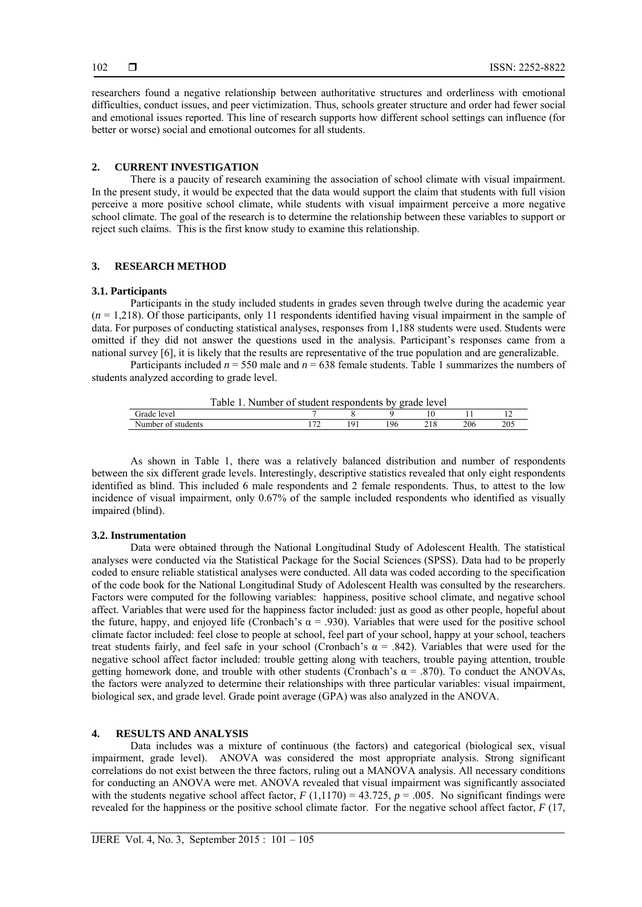researchers found a negative relationship between authoritative structures and orderliness with emotional difficulties, conduct issues, and peer victimization. Thus, schools greater structure and order had fewer social and emotional issues reported. This line of research supports how different school settings can influence (for better or worse) social and emotional outcomes for all students.

# **2. CURRENT INVESTIGATION**

There is a paucity of research examining the association of school climate with visual impairment. In the present study, it would be expected that the data would support the claim that students with full vision perceive a more positive school climate, while students with visual impairment perceive a more negative school climate. The goal of the research is to determine the relationship between these variables to support or reject such claims. This is the first know study to examine this relationship.

## **3. RESEARCH METHOD**

### **3.1. Participants**

Participants in the study included students in grades seven through twelve during the academic year (*n* = 1,218). Of those participants, only 11 respondents identified having visual impairment in the sample of data. For purposes of conducting statistical analyses, responses from 1,188 students were used. Students were omitted if they did not answer the questions used in the analysis. Participant's responses came from a national survey [6], it is likely that the results are representative of the true population and are generalizable.

Participants included *n* = 550 male and *n* = 638 female students. Table 1 summarizes the numbers of students analyzed according to grade level.

| Table<br>Number of student respondents by grade level |  |  |  |    |  |     |     |  |  |
|-------------------------------------------------------|--|--|--|----|--|-----|-----|--|--|
| Grade level                                           |  |  |  |    |  |     |     |  |  |
| Number of students                                    |  |  |  | 96 |  | 206 | 205 |  |  |

As shown in Table 1, there was a relatively balanced distribution and number of respondents between the six different grade levels. Interestingly, descriptive statistics revealed that only eight respondents identified as blind. This included 6 male respondents and 2 female respondents. Thus, to attest to the low incidence of visual impairment, only 0.67% of the sample included respondents who identified as visually impaired (blind).

## **3.2. Instrumentation**

Data were obtained through the National Longitudinal Study of Adolescent Health. The statistical analyses were conducted via the Statistical Package for the Social Sciences (SPSS). Data had to be properly coded to ensure reliable statistical analyses were conducted. All data was coded according to the specification of the code book for the National Longitudinal Study of Adolescent Health was consulted by the researchers. Factors were computed for the following variables: happiness, positive school climate, and negative school affect. Variables that were used for the happiness factor included: just as good as other people, hopeful about the future, happy, and enjoyed life (Cronbach's  $\alpha$  = .930). Variables that were used for the positive school climate factor included: feel close to people at school, feel part of your school, happy at your school, teachers treat students fairly, and feel safe in your school (Cronbach's  $\alpha$  = .842). Variables that were used for the negative school affect factor included: trouble getting along with teachers, trouble paying attention, trouble getting homework done, and trouble with other students (Cronbach's  $\alpha$  = .870). To conduct the ANOVAs, the factors were analyzed to determine their relationships with three particular variables: visual impairment, biological sex, and grade level. Grade point average (GPA) was also analyzed in the ANOVA.

#### **4. RESULTS AND ANALYSIS**

Data includes was a mixture of continuous (the factors) and categorical (biological sex, visual impairment, grade level). ANOVA was considered the most appropriate analysis. Strong significant correlations do not exist between the three factors, ruling out a MANOVA analysis. All necessary conditions for conducting an ANOVA were met. ANOVA revealed that visual impairment was significantly associated with the students negative school affect factor,  $F(1,1170) = 43.725$ ,  $p = .005$ . No significant findings were revealed for the happiness or the positive school climate factor. For the negative school affect factor, *F* (17,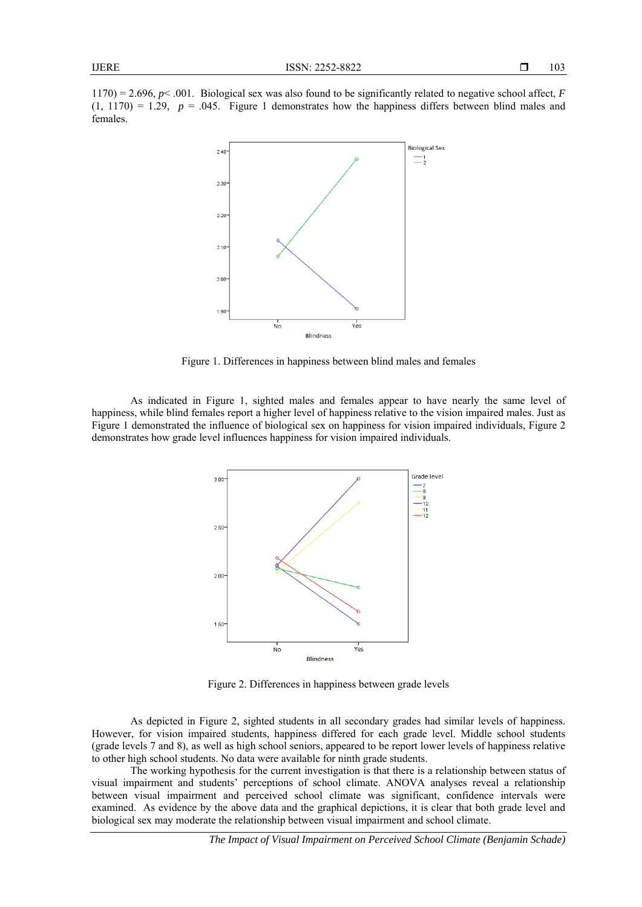1170) = 2.696, *p*< .001. Biological sex was also found to be significantly related to negative school affect, *F*   $(1, 1170) = 1.29$ ,  $p = .045$ . Figure 1 demonstrates how the happiness differs between blind males and females.



Figure 1. Differences in happiness between blind males and females

As indicated in Figure 1, sighted males and females appear to have nearly the same level of happiness, while blind females report a higher level of happiness relative to the vision impaired males. Just as Figure 1 demonstrated the influence of biological sex on happiness for vision impaired individuals, Figure 2 demonstrates how grade level influences happiness for vision impaired individuals.



Figure 2. Differences in happiness between grade levels

As depicted in Figure 2, sighted students in all secondary grades had similar levels of happiness. However, for vision impaired students, happiness differed for each grade level. Middle school students (grade levels 7 and 8), as well as high school seniors, appeared to be report lower levels of happiness relative to other high school students. No data were available for ninth grade students.

The working hypothesis for the current investigation is that there is a relationship between status of visual impairment and students' perceptions of school climate. ANOVA analyses reveal a relationship between visual impairment and perceived school climate was significant, confidence intervals were examined. As evidence by the above data and the graphical depictions, it is clear that both grade level and biological sex may moderate the relationship between visual impairment and school climate.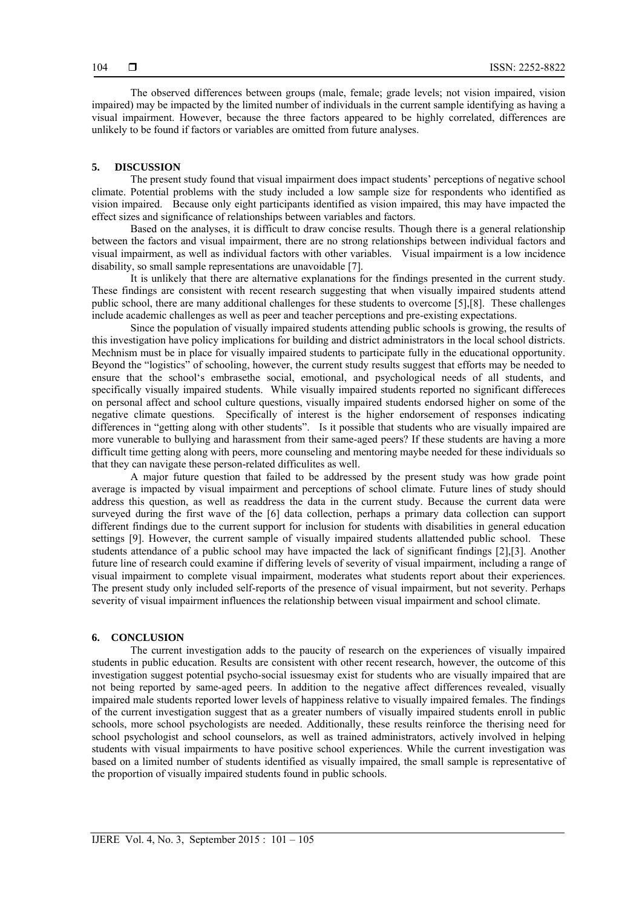The observed differences between groups (male, female; grade levels; not vision impaired, vision impaired) may be impacted by the limited number of individuals in the current sample identifying as having a visual impairment. However, because the three factors appeared to be highly correlated, differences are unlikely to be found if factors or variables are omitted from future analyses.

## **5. DISCUSSION**

The present study found that visual impairment does impact students' perceptions of negative school climate. Potential problems with the study included a low sample size for respondents who identified as vision impaired. Because only eight participants identified as vision impaired, this may have impacted the effect sizes and significance of relationships between variables and factors.

Based on the analyses, it is difficult to draw concise results. Though there is a general relationship between the factors and visual impairment, there are no strong relationships between individual factors and visual impairment, as well as individual factors with other variables. Visual impairment is a low incidence disability, so small sample representations are unavoidable [7].

It is unlikely that there are alternative explanations for the findings presented in the current study. These findings are consistent with recent research suggesting that when visually impaired students attend public school, there are many additional challenges for these students to overcome [5],[8]. These challenges include academic challenges as well as peer and teacher perceptions and pre-existing expectations.

Since the population of visually impaired students attending public schools is growing, the results of this investigation have policy implications for building and district administrators in the local school districts. Mechnism must be in place for visually impaired students to participate fully in the educational opportunity. Beyond the "logistics" of schooling, however, the current study results suggest that efforts may be needed to ensure that the school's embrasethe social, emotional, and psychological needs of all students, and specifically visually impaired students. While visually impaired students reported no significant differeces on personal affect and school culture questions, visually impaired students endorsed higher on some of the negative climate questions. Specifically of interest is the higher endorsement of responses indicating differences in "getting along with other students". Is it possible that students who are visually impaired are more vunerable to bullying and harassment from their same-aged peers? If these students are having a more difficult time getting along with peers, more counseling and mentoring maybe needed for these individuals so that they can navigate these person-related difficulites as well.

A major future question that failed to be addressed by the present study was how grade point average is impacted by visual impairment and perceptions of school climate. Future lines of study should address this question, as well as readdress the data in the current study. Because the current data were surveyed during the first wave of the [6] data collection, perhaps a primary data collection can support different findings due to the current support for inclusion for students with disabilities in general education settings [9]. However, the current sample of visually impaired students allattended public school. These students attendance of a public school may have impacted the lack of significant findings [2],[3]. Another future line of research could examine if differing levels of severity of visual impairment, including a range of visual impairment to complete visual impairment, moderates what students report about their experiences. The present study only included self-reports of the presence of visual impairment, but not severity. Perhaps severity of visual impairment influences the relationship between visual impairment and school climate.

#### **6. CONCLUSION**

The current investigation adds to the paucity of research on the experiences of visually impaired students in public education. Results are consistent with other recent research, however, the outcome of this investigation suggest potential psycho-social issuesmay exist for students who are visually impaired that are not being reported by same-aged peers. In addition to the negative affect differences revealed, visually impaired male students reported lower levels of happiness relative to visually impaired females. The findings of the current investigation suggest that as a greater numbers of visually impaired students enroll in public schools, more school psychologists are needed. Additionally, these results reinforce the therising need for school psychologist and school counselors, as well as trained administrators, actively involved in helping students with visual impairments to have positive school experiences. While the current investigation was based on a limited number of students identified as visually impaired, the small sample is representative of the proportion of visually impaired students found in public schools.